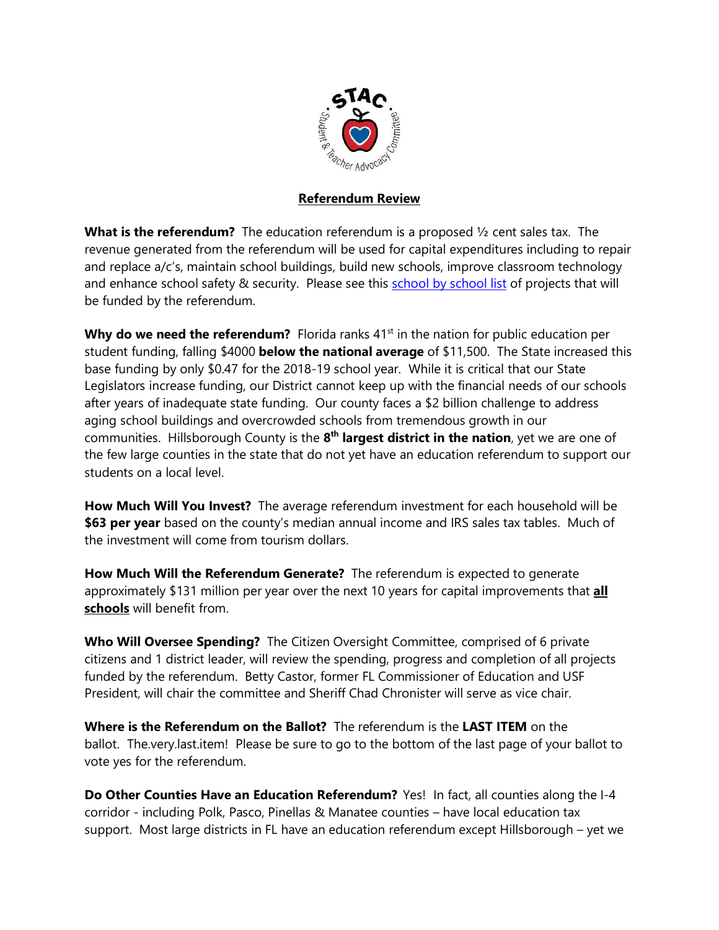

## **Referendum Review**

**What is the referendum?** The education referendum is a proposed ½ cent sales tax. The revenue generated from the referendum will be used for capital expenditures including to repair and replace a/c's, maintain school buildings, build new schools, improve classroom technology and enhance school safety & security. Please see this school by school list of projects that will be funded by the referendum.

**Why do we need the referendum?** Florida ranks 41<sup>st</sup> in the nation for public education per student funding, falling \$4000 **below the national average** of \$11,500. The State increased this base funding by only \$0.47 for the 2018-19 school year. While it is critical that our State Legislators increase funding, our District cannot keep up with the financial needs of our schools after years of inadequate state funding. Our county faces a \$2 billion challenge to address aging school buildings and overcrowded schools from tremendous growth in our communities. Hillsborough County is the 8<sup>th</sup> largest district in the nation, yet we are one of the few large counties in the state that do not yet have an education referendum to support our students on a local level.

**How Much Will You Invest?** The average referendum investment for each household will be **\$63 per year** based on the county's median annual income and IRS sales tax tables. Much of the investment will come from tourism dollars.

**How Much Will the Referendum Generate?** The referendum is expected to generate approximately \$131 million per year over the next 10 years for capital improvements that **all schools** will benefit from.

**Who Will Oversee Spending?** The Citizen Oversight Committee, comprised of 6 private citizens and 1 district leader, will review the spending, progress and completion of all projects funded by the referendum. Betty Castor, former FL Commissioner of Education and USF President, will chair the committee and Sheriff Chad Chronister will serve as vice chair.

**Where is the Referendum on the Ballot?** The referendum is the **LAST ITEM** on the ballot. The.very.last.item! Please be sure to go to the bottom of the last page of your ballot to vote yes for the referendum.

**Do Other Counties Have an Education Referendum?** Yes! In fact, all counties along the I-4 corridor - including Polk, Pasco, Pinellas & Manatee counties – have local education tax support. Most large districts in FL have an education referendum except Hillsborough – yet we